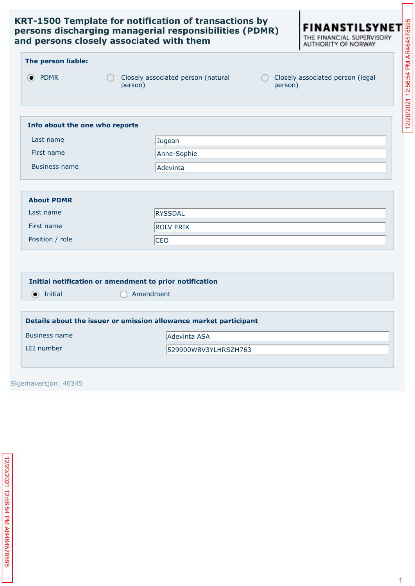

|  | The person liable: |  |
|--|--------------------|--|

- 
- PDMR Closely associated person (natural person)
	-
- person)

| RT-1500 Template for notification of transactions by<br><b>FINANSTILSYNE</b><br>ersons discharging managerial responsibilities (PDMR)<br>THE FINANCIAL SUPERVISORY<br>nd persons closely associated with them<br>AUTHORITY OF NORWAY |                                                                                                             |
|--------------------------------------------------------------------------------------------------------------------------------------------------------------------------------------------------------------------------------------|-------------------------------------------------------------------------------------------------------------|
| The person liable:                                                                                                                                                                                                                   | AR464578595                                                                                                 |
| <b>PDMR</b><br>$\left( \bullet \right)$                                                                                                                                                                                              | 12:56:54 PM<br>Closely associated person (legal<br>Closely associated person (natural<br>person)<br>person) |
|                                                                                                                                                                                                                                      | 2/20/2021                                                                                                   |
| Info about the one who reports                                                                                                                                                                                                       |                                                                                                             |
| Last name                                                                                                                                                                                                                            | Jugean                                                                                                      |
| First name                                                                                                                                                                                                                           | Anne-Sophie                                                                                                 |
| <b>Business name</b>                                                                                                                                                                                                                 | Adevinta                                                                                                    |

| <b>About PDMR</b> |                  |
|-------------------|------------------|
| Last name         | <b>RYSSDAL</b>   |
| First name        | <b>ROLV ERIK</b> |
| Position / role   | <b>CEO</b>       |

|                 | Initial notification or amendment to prior notification |
|-----------------|---------------------------------------------------------|
| $\odot$ Initial | Amendment                                               |
|                 |                                                         |

| Details about the issuer or emission allowance market participant |                      |  |
|-------------------------------------------------------------------|----------------------|--|
| <b>Business name</b>                                              | <b>Adevinta ASA</b>  |  |
| LEI number                                                        | 529900W8V3YLHRSZH763 |  |
|                                                                   |                      |  |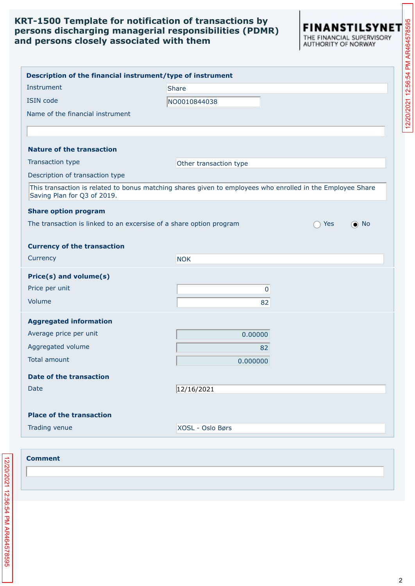| <b>RT-1500 Template for notification of transactions by</b><br>FINANSTILSYNET<br>ersons discharging managerial responsibilities (PDMR)<br>E FINANCIAL SUPERVISORY<br>Id persons closely associated with them<br>AUTHORITY OF NORWAY |                        |                   | 12/20/2021 12:56:54 PM AR464578595 |
|-------------------------------------------------------------------------------------------------------------------------------------------------------------------------------------------------------------------------------------|------------------------|-------------------|------------------------------------|
| Description of the financial instrument/type of instrument                                                                                                                                                                          |                        |                   |                                    |
| Instrument                                                                                                                                                                                                                          | <b>Share</b>           |                   |                                    |
| <b>ISIN code</b>                                                                                                                                                                                                                    | NO0010844038           |                   |                                    |
| Name of the financial instrument                                                                                                                                                                                                    |                        |                   |                                    |
|                                                                                                                                                                                                                                     |                        |                   |                                    |
| <b>Nature of the transaction</b>                                                                                                                                                                                                    |                        |                   |                                    |
| Transaction type                                                                                                                                                                                                                    | Other transaction type |                   |                                    |
| Description of transaction type                                                                                                                                                                                                     |                        |                   |                                    |
| This transaction is related to bonus matching shares given to employees who enrolled in the Employee Share<br>Saving Plan for Q3 of 2019.                                                                                           |                        |                   |                                    |
| <b>Share option program</b>                                                                                                                                                                                                         |                        |                   |                                    |
| The transaction is linked to an excersise of a share option program                                                                                                                                                                 |                        | $\odot$ No<br>Yes |                                    |
|                                                                                                                                                                                                                                     |                        |                   |                                    |
| <b>Currency of the transaction</b>                                                                                                                                                                                                  |                        |                   |                                    |
| Currency                                                                                                                                                                                                                            | <b>NOK</b>             |                   |                                    |
| Price(s) and volume(s)                                                                                                                                                                                                              |                        |                   |                                    |
| Price per unit                                                                                                                                                                                                                      | 0                      |                   |                                    |
| Volume                                                                                                                                                                                                                              | 82                     |                   |                                    |
| <b>Aggregated information</b>                                                                                                                                                                                                       |                        |                   |                                    |
| Average price per unit                                                                                                                                                                                                              | 0.00000                |                   |                                    |
| Aggregated volume                                                                                                                                                                                                                   | 82                     |                   |                                    |
| <b>Total amount</b>                                                                                                                                                                                                                 | 0.000000               |                   |                                    |
| <b>Date of the transaction</b>                                                                                                                                                                                                      |                        |                   |                                    |
| Date                                                                                                                                                                                                                                | 12/16/2021             |                   |                                    |
|                                                                                                                                                                                                                                     |                        |                   |                                    |
| <b>Place of the transaction</b>                                                                                                                                                                                                     |                        |                   |                                    |
| Trading venue                                                                                                                                                                                                                       | XOSL - Oslo Børs       |                   |                                    |
|                                                                                                                                                                                                                                     |                        |                   |                                    |
| <b>Comment</b>                                                                                                                                                                                                                      |                        |                   |                                    |
|                                                                                                                                                                                                                                     |                        |                   |                                    |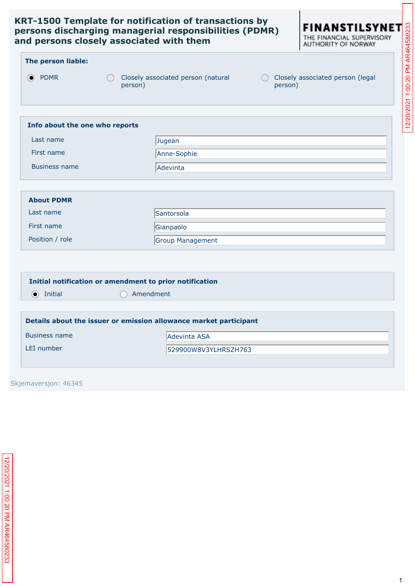

#### **The person liable:**

- PDMR Closely associated person (natural person)
	-
- person)

|                                | RT-1500 Template for notification of transactions by<br><b>FINANSTILSYNET</b><br>ersons discharging managerial responsibilities (PDMR)<br>nd persons closely associated with them |
|--------------------------------|-----------------------------------------------------------------------------------------------------------------------------------------------------------------------------------|
| The person liable:             |                                                                                                                                                                                   |
| O PDMR                         | 1:00:20 PM<br>Closely associated person (natural<br>Closely associated person (legal<br>person)<br>person)                                                                        |
|                                | 12/20/2021                                                                                                                                                                        |
| Info about the one who reports |                                                                                                                                                                                   |
| Last name                      | Jugean                                                                                                                                                                            |
| First name                     | Anne-Sophie                                                                                                                                                                       |
| <b>Business name</b>           | Adevinta                                                                                                                                                                          |

| <b>About PDMR</b> |                   |
|-------------------|-------------------|
| Last name         | <b>Santorsola</b> |
| First name        | Gianpaolo         |
| Position / role   | Group Management  |

#### **Initial notification or amendment to prior notification**

Initial Amendment

| Details about the issuer or emission allowance market participant |                      |
|-------------------------------------------------------------------|----------------------|
| Business name                                                     | Adevinta ASA         |
| LEI number                                                        | 529900W8V3YLHRSZH763 |
|                                                                   |                      |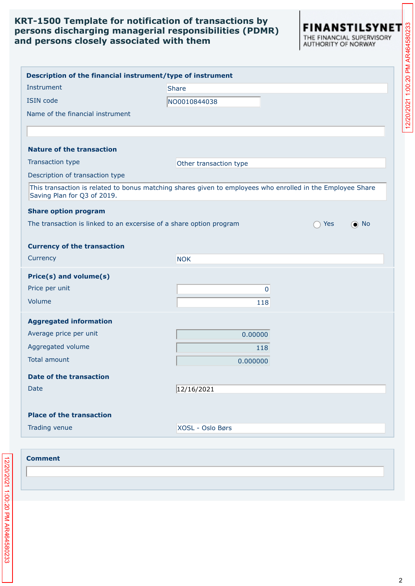| d persons closely associated with them | <b>RT-1500 Template for notification of transactions by</b><br>rsons discharging managerial responsibilities (PDMR) | FINANSTILSYNET<br>THE FINANCIAL SUPERVISORY<br>AUTHORITY OF NORWAY |
|----------------------------------------|---------------------------------------------------------------------------------------------------------------------|--------------------------------------------------------------------|
|                                        | Description of the financial instrument/type of instrument                                                          |                                                                    |
| Instrument                             | Share                                                                                                               |                                                                    |
| <b>ISIN</b> code                       | NO0010844038                                                                                                        |                                                                    |
| Name of the financial instrument       |                                                                                                                     |                                                                    |
|                                        |                                                                                                                     |                                                                    |
| <b>Nature of the transaction</b>       |                                                                                                                     |                                                                    |
| Transaction type                       | Other transaction type                                                                                              |                                                                    |
| Description of transaction type        |                                                                                                                     |                                                                    |
| Saving Plan for Q3 of 2019.            | This transaction is related to bonus matching shares given to employees who enrolled in the Employee Share          |                                                                    |
| <b>Share option program</b>            |                                                                                                                     |                                                                    |
|                                        | The transaction is linked to an excersise of a share option program                                                 | $\odot$ No<br>Yes                                                  |
| <b>Currency of the transaction</b>     |                                                                                                                     |                                                                    |
| Currency                               | <b>NOK</b>                                                                                                          |                                                                    |
| Price(s) and volume(s)                 |                                                                                                                     |                                                                    |
| Price per unit                         | 0                                                                                                                   |                                                                    |
| Volume                                 | 118                                                                                                                 |                                                                    |
| <b>Aggregated information</b>          |                                                                                                                     |                                                                    |
| Average price per unit                 | 0.00000                                                                                                             |                                                                    |
| Aggregated volume                      | 118                                                                                                                 |                                                                    |
| <b>Total amount</b>                    | 0.000000                                                                                                            |                                                                    |
| <b>Date of the transaction</b>         |                                                                                                                     |                                                                    |
| Date                                   | 12/16/2021                                                                                                          |                                                                    |
|                                        |                                                                                                                     |                                                                    |
| <b>Place of the transaction</b>        |                                                                                                                     |                                                                    |

#### 2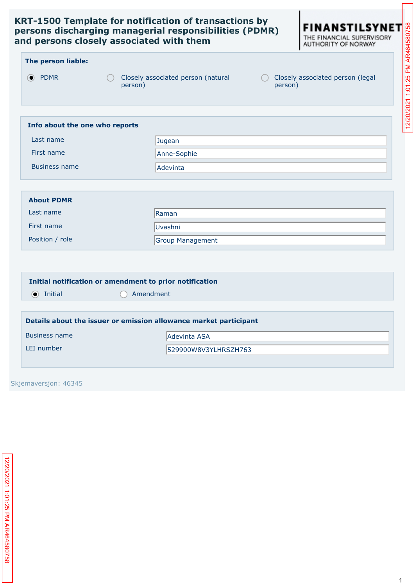

|                                         | RT-1500 Template for notification of transactions by<br><b>FINANSTILSYNET</b><br>ersons discharging managerial responsibilities (PDMR)<br>nd persons closely associated with them |            |            |
|-----------------------------------------|-----------------------------------------------------------------------------------------------------------------------------------------------------------------------------------|------------|------------|
| The person liable:                      |                                                                                                                                                                                   |            |            |
| <b>PDMR</b><br>$\left( \bullet \right)$ | Closely associated person (legal<br>Closely associated person (natural<br>person)<br>person)                                                                                      | 1:01:25 PM |            |
| Info about the one who reports          |                                                                                                                                                                                   |            | 12/20/2021 |
| Last name                               | Jugean                                                                                                                                                                            |            |            |
| First name                              | Anne-Sophie                                                                                                                                                                       |            |            |
| <b>Business name</b>                    | Adevinta                                                                                                                                                                          |            |            |

| <b>About PDMR</b> |                         |
|-------------------|-------------------------|
| Last name         | Raman                   |
| First name        | Uvashni                 |
| Position / role   | <b>Group Management</b> |

#### **Initial notification or amendment to prior notification**

Initial Amendment

| Details about the issuer or emission allowance market participant |                      |
|-------------------------------------------------------------------|----------------------|
| Business name                                                     | Adevinta ASA         |
| LEI number                                                        | 529900W8V3YLHRSZH763 |
|                                                                   |                      |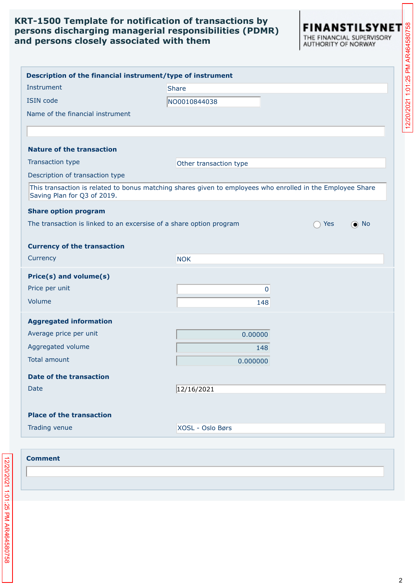| d persons closely associated with them | <b>RT-1500 Template for notification of transactions by</b><br>rsons discharging managerial responsibilities (PDMR) | FINANSTILSYNET<br>THE FINANCIAL SUPERVISORY<br>AUTHORITY OF NORWAY |
|----------------------------------------|---------------------------------------------------------------------------------------------------------------------|--------------------------------------------------------------------|
|                                        | Description of the financial instrument/type of instrument                                                          |                                                                    |
| Instrument                             | <b>Share</b>                                                                                                        |                                                                    |
| <b>ISIN</b> code                       | NO0010844038                                                                                                        |                                                                    |
| Name of the financial instrument       |                                                                                                                     |                                                                    |
|                                        |                                                                                                                     |                                                                    |
| <b>Nature of the transaction</b>       |                                                                                                                     |                                                                    |
| Transaction type                       | Other transaction type                                                                                              |                                                                    |
| Description of transaction type        |                                                                                                                     |                                                                    |
| Saving Plan for Q3 of 2019.            | This transaction is related to bonus matching shares given to employees who enrolled in the Employee Share          |                                                                    |
| <b>Share option program</b>            |                                                                                                                     |                                                                    |
|                                        | The transaction is linked to an excersise of a share option program                                                 | $\odot$ No<br>Yes                                                  |
| <b>Currency of the transaction</b>     |                                                                                                                     |                                                                    |
| Currency                               | <b>NOK</b>                                                                                                          |                                                                    |
| Price(s) and volume(s)                 |                                                                                                                     |                                                                    |
| Price per unit                         | 0                                                                                                                   |                                                                    |
| Volume                                 | 148                                                                                                                 |                                                                    |
| <b>Aggregated information</b>          |                                                                                                                     |                                                                    |
| Average price per unit                 | 0.00000                                                                                                             |                                                                    |
| Aggregated volume                      | 148                                                                                                                 |                                                                    |
| <b>Total amount</b>                    | 0.000000                                                                                                            |                                                                    |
| <b>Date of the transaction</b>         |                                                                                                                     |                                                                    |
| Date                                   | 12/16/2021                                                                                                          |                                                                    |
|                                        |                                                                                                                     |                                                                    |
| <b>Place of the transaction</b>        |                                                                                                                     |                                                                    |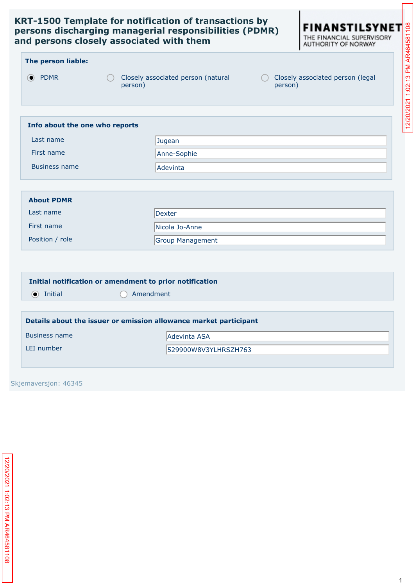

| The person liable: |  |  |  |
|--------------------|--|--|--|
|--------------------|--|--|--|

- 
- PDMR Closely associated person (natural person)
- person)

| Info about the one who reports |                 |
|--------------------------------|-----------------|
| Last name                      | Jugean          |
| First name                     | Anne-Sophie     |
| Business name                  | <b>Adevinta</b> |

| <b>About PDMR</b> |                  |
|-------------------|------------------|
| Last name         | Dexter           |
| First name        | Nicola Jo-Anne   |
| Position / role   | Group Management |

#### **Initial notification or amendment to prior notification**

Initial Amendment

| Details about the issuer or emission allowance market participant |                      |
|-------------------------------------------------------------------|----------------------|
| Business name                                                     | Adevinta ASA         |
| LEI number                                                        | 529900W8V3YLHRSZH763 |
|                                                                   |                      |